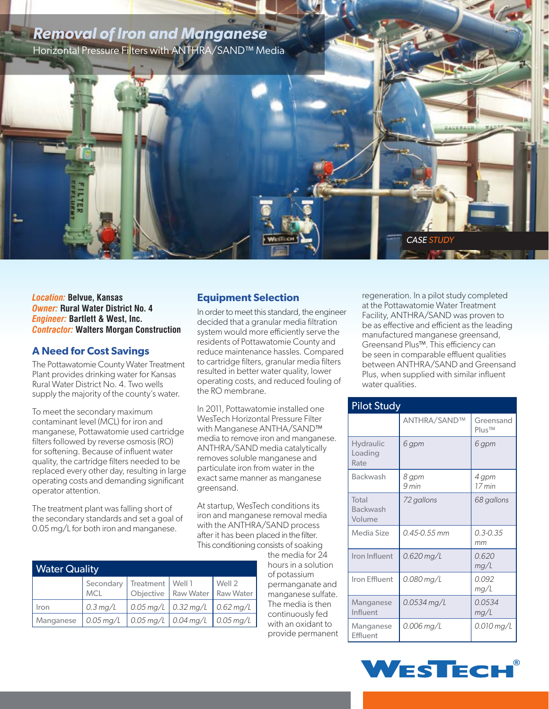

*Location:* **Belvue, Kansas**  *Owner:* **Rural Water District No. 4** *Engineer:* **Bartlett & West, Inc.** *Contractor:* **Walters Morgan Construction**

## **A Need for Cost Savings**

The Pottawatomie County Water Treatment Plant provides drinking water for Kansas Rural Water District No. 4. Two wells supply the majority of the county's water.

To meet the secondary maximum contaminant level (MCL) for iron and manganese, Pottawatomie used cartridge filters followed by reverse osmosis (RO) for softening. Because of influent water quality, the cartridge filters needed to be replaced every other day, resulting in large operating costs and demanding significant operator attention.

The treatment plant was falling short of the secondary standards and set a goal of 0.05 mg/L for both iron and manganese.

## **Equipment Selection**

In order to meet this standard, the engineer decided that a granular media filtration system would more efficiently serve the residents of Pottawatomie County and reduce maintenance hassles. Compared to cartridge filters, granular media filters resulted in better water quality, lower operating costs, and reduced fouling of the RO membrane.

In 2011, Pottawatomie installed one WesTech Horizontal Pressure Filter with Manganese ANTHA/SAND™ media to remove iron and manganese. ANTHRA/SAND media catalytically removes soluble manganese and particulate iron from water in the exact same manner as manganese greensand.

At startup, WesTech conditions its iron and manganese removal media with the ANTHRA/SAND process after it has been placed in the filter. This conditioning consists of soaking

> the media for 24 hours in a solution of potassium permanganate and manganese sulfate. The media is then continuously fed with an oxidant to provide permanent

regeneration. In a pilot study completed at the Pottawatomie Water Treatment Facility, ANTHRA/SAND was proven to be as effective and efficient as the leading manufactured manganese greensand, Greensand Plus™. This efficiency can be seen in comparable effluent qualities between ANTHRA/SAND and Greensand Plus, when supplied with similar influent water qualities.

| <b>Pilot Study</b>                  |                     |                                 |  |  |
|-------------------------------------|---------------------|---------------------------------|--|--|
|                                     | <b>ANTHRA/SAND™</b> | Greensand<br>Plus <sup>TM</sup> |  |  |
| <b>Hydraulic</b><br>Loading<br>Rate | 6 gpm               | 6 gpm                           |  |  |
| <b>Backwash</b>                     | 8 gpm<br>9 min      | 4 gpm<br>$17$ min               |  |  |
| Total<br>Backwash<br>Volume         | 72 gallons          | 68 gallons                      |  |  |
| Media Size                          | 0.45-0.55 mm        | $0.3 - 0.35$<br>mm              |  |  |
| Iron Influent                       | $0.620$ mg/L        | 0.620<br>mg/L                   |  |  |
| Iron Effluent                       | 0.080 mg/L          | 0.092<br>mg/L                   |  |  |
| Manganese<br>Influent               | 0.0534 mg/L         | 0.0534<br>mg/L                  |  |  |
| Manganese<br>Effluent               | 0.006 mg/L          | 0.010 mg/L                      |  |  |

| <b>Water Quality</b> |                                              |  |                                   |                         |  |  |
|----------------------|----------------------------------------------|--|-----------------------------------|-------------------------|--|--|
|                      | Secondary   Treatment   Well 1<br><b>MCL</b> |  | Objective   Raw Water   Raw Water | Well 2                  |  |  |
| Iron                 | $0.3 \,\mathrm{mg/L}$                        |  | $0.05 \,\mathrm{mg/L}$ 0.32 mg/L  | $0.62$ mg/L             |  |  |
| Manganese            | $0.05$ mg/L                                  |  | $0.05 \,\mathrm{mg/L}$ 0.04 mg/L  | $\frac{1}{2}$ 0.05 mg/L |  |  |